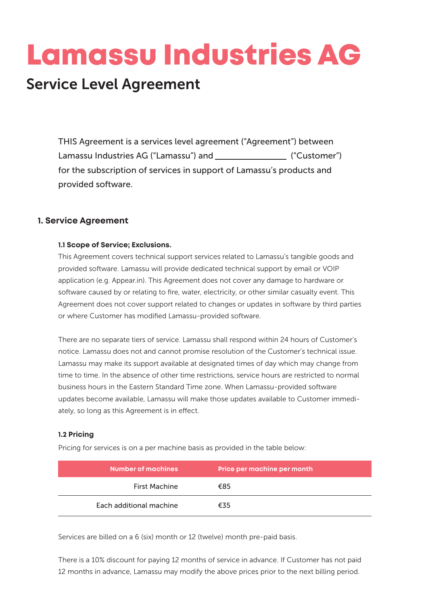# Lamassu Industries AG

# Service Level Agreement

THIS Agreement is a services level agreement ("Agreement") between Lamassu Industries AG ("Lamassu") and [20] [20] ("Customer") for the subscription of services in support of Lamassu's products and provided software.

# **1. Service Agreement**

#### **1.1 Scope of Service; Exclusions.**

This Agreement covers technical support services related to Lamassu's tangible goods and provided software. Lamassu will provide dedicated technical support by email or VOIP application (e.g. Appear.in). This Agreement does not cover any damage to hardware or software caused by or relating to fire, water, electricity, or other similar casualty event. This Agreement does not cover support related to changes or updates in software by third parties or where Customer has modified Lamassu-provided software.

There are no separate tiers of service. Lamassu shall respond within 24 hours of Customer's notice. Lamassu does not and cannot promise resolution of the Customer's technical issue. Lamassu may make its support available at designated times of day which may change from time to time. In the absence of other time restrictions, service hours are restricted to normal business hours in the Eastern Standard Time zone. When Lamassu-provided software updates become available, Lamassu will make those updates available to Customer immediately, so long as this Agreement is in effect.

#### **1.2 Pricing**

Pricing for services is on a per machine basis as provided in the table below:

| <b>Number of machines</b> | Price per machine per month |
|---------------------------|-----------------------------|
| First Machine             | €85                         |
| Each additional machine   | €35                         |

Services are billed on a 6 (six) month or 12 (twelve) month pre-paid basis.

There is a 10% discount for paying 12 months of service in advance. If Customer has not paid 12 months in advance, Lamassu may modify the above prices prior to the next billing period.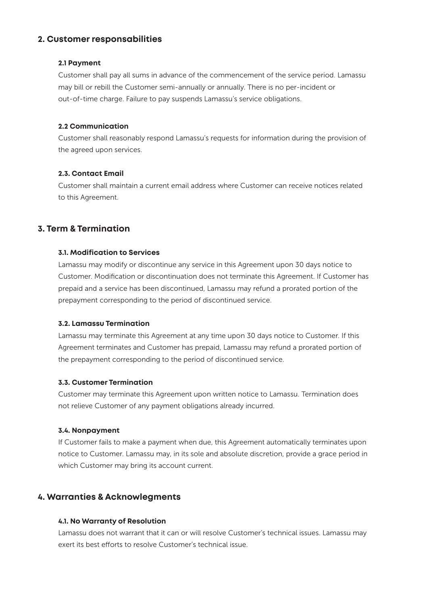# **2. Customer responsabilities**

#### **2.1 Payment**

Customer shall pay all sums in advance of the commencement of the service period. Lamassu may bill or rebill the Customer semi-annually or annually. There is no per-incident or out-of-time charge. Failure to pay suspends Lamassu's service obligations.

#### **2.2 Communication**

Customer shall reasonably respond Lamassu's requests for information during the provision of the agreed upon services.

#### **2.3. Contact Email**

Customer shall maintain a current email address where Customer can receive notices related to this Agreement.

# **3. Term & Termination**

#### **3.1. Modification to Services**

Lamassu may modify or discontinue any service in this Agreement upon 30 days notice to Customer. Modification or discontinuation does not terminate this Agreement. If Customer has prepaid and a service has been discontinued, Lamassu may refund a prorated portion of the prepayment corresponding to the period of discontinued service.

#### **3.2. Lamassu Termination**

Lamassu may terminate this Agreement at any time upon 30 days notice to Customer. If this Agreement terminates and Customer has prepaid, Lamassu may refund a prorated portion of the prepayment corresponding to the period of discontinued service.

#### **3.3. Customer Termination**

Customer may terminate this Agreement upon written notice to Lamassu. Termination does not relieve Customer of any payment obligations already incurred.

#### **3.4. Nonpayment**

If Customer fails to make a payment when due, this Agreement automatically terminates upon notice to Customer. Lamassu may, in its sole and absolute discretion, provide a grace period in which Customer may bring its account current.

# **4. Warranties & Acknowlegments**

#### **4.1. No Warranty of Resolution**

Lamassu does not warrant that it can or will resolve Customer's technical issues. Lamassu may exert its best efforts to resolve Customer's technical issue.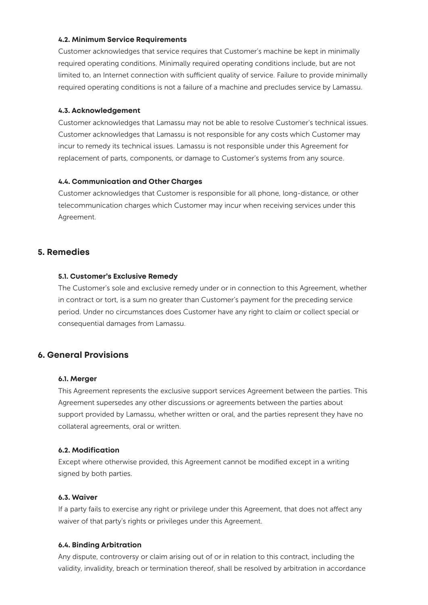#### **4.2. Minimum Service Requirements**

Customer acknowledges that service requires that Customer's machine be kept in minimally required operating conditions. Minimally required operating conditions include, but are not limited to, an Internet connection with sufficient quality of service. Failure to provide minimally required operating conditions is not a failure of a machine and precludes service by Lamassu.

#### **4.3. Acknowledgement**

Customer acknowledges that Lamassu may not be able to resolve Customer's technical issues. Customer acknowledges that Lamassu is not responsible for any costs which Customer may incur to remedy its technical issues. Lamassu is not responsible under this Agreement for replacement of parts, components, or damage to Customer's systems from any source.

#### **4.4. Communication and Other Charges**

Customer acknowledges that Customer is responsible for all phone, long-distance, or other telecommunication charges which Customer may incur when receiving services under this Agreement.

### **5. Remedies**

#### **5.1. Customer's Exclusive Remedy**

The Customer's sole and exclusive remedy under or in connection to this Agreement, whether in contract or tort, is a sum no greater than Customer's payment for the preceding service period. Under no circumstances does Customer have any right to claim or collect special or consequential damages from Lamassu.

## **6. General Provisions**

#### **6.1. Merger**

This Agreement represents the exclusive support services Agreement between the parties. This Agreement supersedes any other discussions or agreements between the parties about support provided by Lamassu, whether written or oral, and the parties represent they have no collateral agreements, oral or written.

#### **6.2. Modification**

Except where otherwise provided, this Agreement cannot be modified except in a writing signed by both parties.

#### **6.3. Waiver**

If a party fails to exercise any right or privilege under this Agreement, that does not affect any waiver of that party's rights or privileges under this Agreement.

#### **6.4. Binding Arbitration**

Any dispute, controversy or claim arising out of or in relation to this contract, including the validity, invalidity, breach or termination thereof, shall be resolved by arbitration in accordance